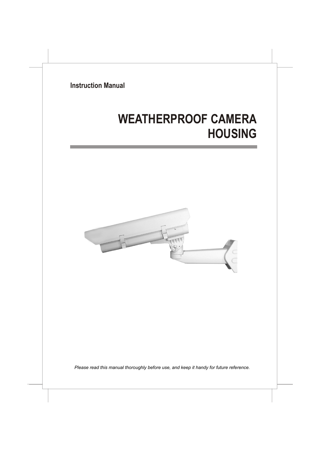**Instruction Manual**

# **WEATHERPROOF CAMERA HOUSING**



*Please read this manual thoroughly before use, and keep it handy for future reference.*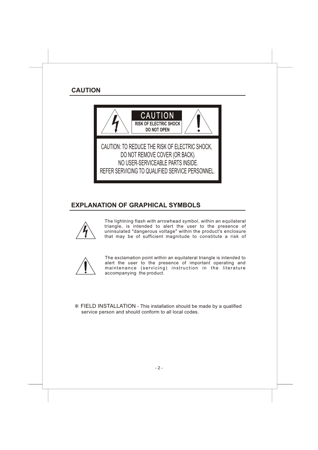

# **EXPLANATION OF GRAPHICAL SYMBOLS**



The lightning flash with arrowhead symbol, within an equilateral triangle, is intended to alert the user to the presence of uninsulated "dangerous voltage" within the product's enclosure that may be of sufficient magnitude to constitute a risk of



The exclamation point within an equilateral triangle is intended to alert the user to the presence of important operating and maintenance (servicing) instruction in the literature accompanying the product.

FIELD INSTALLATION - This installation should be made by a qualified service person and should conform to all local codes.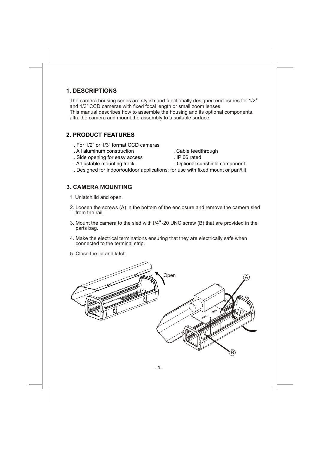# **3. CAMERA MOUNTING**

- 1. Unlatch lid and open.
- 2. Loosen the screws (A) in the bottom of the enclosure and remove the camera sled from the rail.

. Designed for indoor/outdoor applications; for use with fixed mount or pan/tilt

- 3. Mount the camera to the sled with1/4 -20 UNC screw (B) that are provided in the parts bag.
- 4. Make the electrical terminations ensuring that they are electrically safe when connected to the terminal strip.
- 5. Close the lid and latch.

# Open A B

#### **1. DESCRIPTIONS**

The camera housing series are stylish and functionally designed enclosures for 1/2 and 1/3" CCD cameras with fixed focal length or small zoom lenses. This manual describes how to assemble the housing and its optional components, affix the camera and mount the assembly to a suitable surface.

# . For 1/2" or 1/3" format CCD cameras

. All aluminum construction . Cable feedthrough

**2. PRODUCT FEATURES**

- . Side opening for easy access . IP 66 rated
- -
- . Adjustable mounting track . Optional sunshield component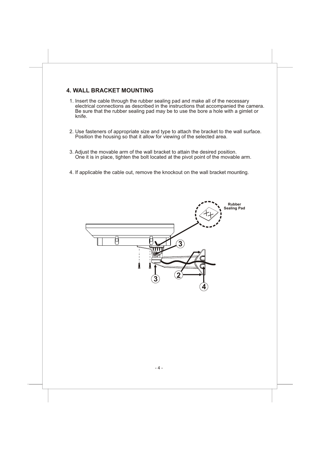### **4. WALL BRACKET MOUNTING**

- 1. Insert the cable through the rubber sealing pad and make all of the necessary electrical connections as described in the instructions that accompanied the camera. Be sure that the rubber sealing pad may be to use the bore a hole with a gimlet or knife.
- 2. Use fasteners of appropriate size and type to attach the bracket to the wall surface. Position the housing so that it allow for viewing of the selected area.
- 3. Adjust the movable arm of the wall bracket to attain the desired position. One it is in place, tighten the bolt located at the pivot point of the movable arm.
- 4. If applicable the cable out, remove the knockout on the wall bracket mounting.

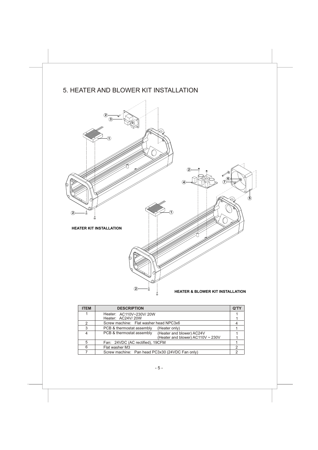# 5. HEATER AND BLOWER KIT INSTALLATION



| <b>ITEM</b> | <b>DESCRIPTION</b>                                                                          | Q'TY |
|-------------|---------------------------------------------------------------------------------------------|------|
|             | Heater: AC110V~230V/20W<br>Heater: AC24V/20W                                                |      |
|             | Screw machine: Flat washer head NPC3x6                                                      |      |
| 3           | PCB & thermostat assembly<br>(Heater only)                                                  |      |
|             | PCB & thermostat assembly<br>(Heater and blower) AC24V<br>(Heater and blower) AC110V ~ 230V |      |
| 5           | Fan: 24VDC (AC rectified), 19CFM                                                            |      |
| 6           | Flat washer M3                                                                              |      |
|             | Screw machine: Pan head PC3x30 (24VDC Fan only)                                             |      |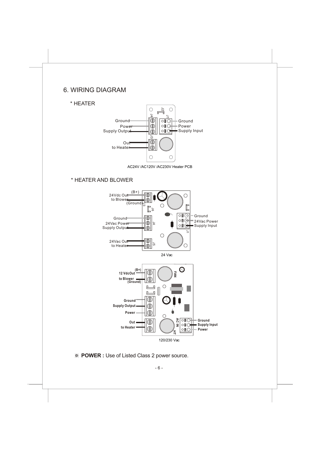# 6. WIRING DIAGRAM

#### \* HEATER



AC24V /AC120V /AC230V Heater PCB

#### \* HEATER AND BLOWER



**POWER :** Use of Listed Class 2 power source.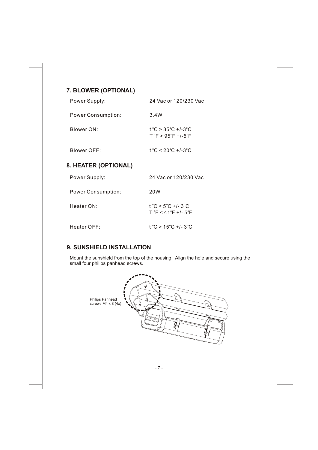## **7. BLOWER (OPTIONAL)**

| Power Supply:               | 24 Vac or 120/230 Vac                             |  |  |
|-----------------------------|---------------------------------------------------|--|--|
| <b>Power Consumption:</b>   | 3.4W                                              |  |  |
| Blower ON:                  | t °C > 35°C +/-3°C<br>$T °F > 95 °F + 1.5 °F$     |  |  |
| Blower OFF:                 | $t^{\circ}$ C < 20 $^{\circ}$ C +/-3 $^{\circ}$ C |  |  |
| <b>8. HEATER (OPTIONAL)</b> |                                                   |  |  |

| Power Supply:             | 24 Vac or 120/230 Vac                                           |
|---------------------------|-----------------------------------------------------------------|
| <b>Power Consumption:</b> | 20W                                                             |
| Heater ON:                | t °C < 5°C +/- 3°C<br>$T^{\circ}F < 41^{\circ}F + 1.5^{\circ}F$ |
| Heater $OFF$ :            | $t^{\circ}$ C > 15 $^{\circ}$ C +/-3 $^{\circ}$ C               |

## **9. SUNSHIELD INSTALLATION**

Mount the sunshield from the top of the housing. Align the hole and secure using the small four philips panhead screws.